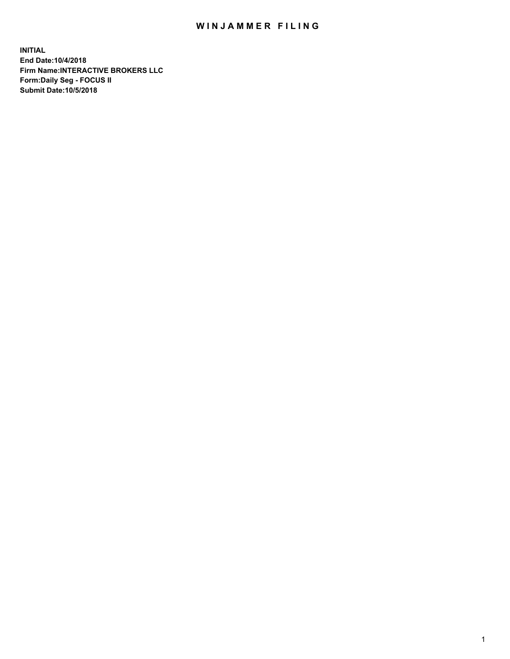## WIN JAMMER FILING

**INITIAL End Date:10/4/2018 Firm Name:INTERACTIVE BROKERS LLC Form:Daily Seg - FOCUS II Submit Date:10/5/2018**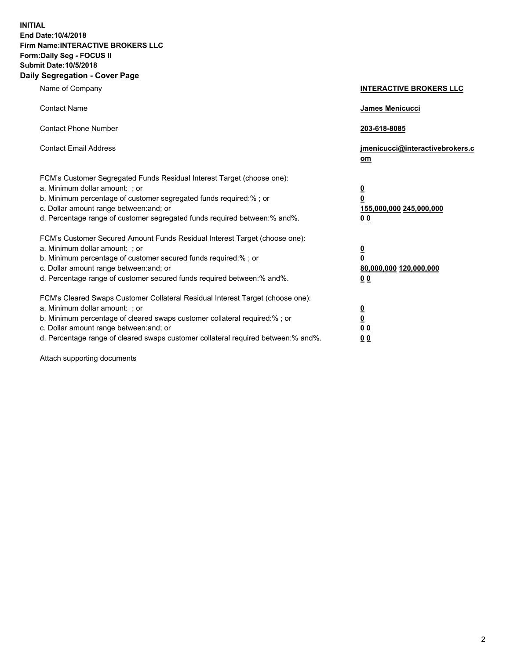**INITIAL End Date:10/4/2018 Firm Name:INTERACTIVE BROKERS LLC Form:Daily Seg - FOCUS II Submit Date:10/5/2018 Daily Segregation - Cover Page**

| Name of Company                                                                                                                                                                                                                                                                                                                | <b>INTERACTIVE BROKERS LLC</b>                                                                  |
|--------------------------------------------------------------------------------------------------------------------------------------------------------------------------------------------------------------------------------------------------------------------------------------------------------------------------------|-------------------------------------------------------------------------------------------------|
| <b>Contact Name</b>                                                                                                                                                                                                                                                                                                            | James Menicucci                                                                                 |
| <b>Contact Phone Number</b>                                                                                                                                                                                                                                                                                                    | 203-618-8085                                                                                    |
| <b>Contact Email Address</b>                                                                                                                                                                                                                                                                                                   | jmenicucci@interactivebrokers.c<br>om                                                           |
| FCM's Customer Segregated Funds Residual Interest Target (choose one):<br>a. Minimum dollar amount: ; or<br>b. Minimum percentage of customer segregated funds required:% ; or<br>c. Dollar amount range between: and; or<br>d. Percentage range of customer segregated funds required between:% and%.                         | $\overline{\mathbf{0}}$<br>$\overline{\mathbf{0}}$<br>155,000,000 245,000,000<br>0 <sub>0</sub> |
| FCM's Customer Secured Amount Funds Residual Interest Target (choose one):<br>a. Minimum dollar amount: ; or<br>b. Minimum percentage of customer secured funds required:% ; or<br>c. Dollar amount range between: and; or<br>d. Percentage range of customer secured funds required between:% and%.                           | $\overline{\mathbf{0}}$<br>0<br>80,000,000 120,000,000<br>0 <sub>0</sub>                        |
| FCM's Cleared Swaps Customer Collateral Residual Interest Target (choose one):<br>a. Minimum dollar amount: ; or<br>b. Minimum percentage of cleared swaps customer collateral required:% ; or<br>c. Dollar amount range between: and; or<br>d. Percentage range of cleared swaps customer collateral required between:% and%. | $\overline{\mathbf{0}}$<br><u>0</u><br>$\underline{0}$ $\underline{0}$<br>00                    |

Attach supporting documents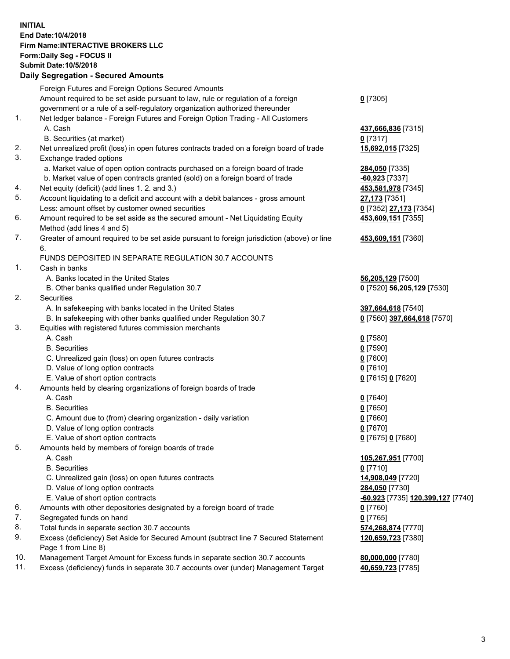## **INITIAL End Date:10/4/2018 Firm Name:INTERACTIVE BROKERS LLC Form:Daily Seg - FOCUS II Submit Date:10/5/2018 Daily Segregation - Secured Amounts**

|     | Daily Jegregation - Jeculed Aniounts                                                                       |                                                |
|-----|------------------------------------------------------------------------------------------------------------|------------------------------------------------|
|     | Foreign Futures and Foreign Options Secured Amounts                                                        |                                                |
|     | Amount required to be set aside pursuant to law, rule or regulation of a foreign                           | $0$ [7305]                                     |
|     | government or a rule of a self-regulatory organization authorized thereunder                               |                                                |
| 1.  | Net ledger balance - Foreign Futures and Foreign Option Trading - All Customers                            |                                                |
|     | A. Cash                                                                                                    | 437,666,836 [7315]                             |
|     | B. Securities (at market)                                                                                  | $0$ [7317]                                     |
| 2.  | Net unrealized profit (loss) in open futures contracts traded on a foreign board of trade                  | 15,692,015 [7325]                              |
| 3.  | Exchange traded options                                                                                    |                                                |
|     | a. Market value of open option contracts purchased on a foreign board of trade                             | 284,050 [7335]                                 |
|     | b. Market value of open contracts granted (sold) on a foreign board of trade                               | $-60,923$ [7337]                               |
| 4.  | Net equity (deficit) (add lines 1.2. and 3.)                                                               | 453,581,978 [7345]                             |
| 5.  | Account liquidating to a deficit and account with a debit balances - gross amount                          | 27,173 [7351]                                  |
|     | Less: amount offset by customer owned securities                                                           | 0 [7352] 27,173 [7354]                         |
| 6.  | Amount required to be set aside as the secured amount - Net Liquidating Equity                             | 453,609,151 [7355]                             |
|     | Method (add lines 4 and 5)                                                                                 |                                                |
| 7.  | Greater of amount required to be set aside pursuant to foreign jurisdiction (above) or line                | 453,609,151 [7360]                             |
|     | 6.                                                                                                         |                                                |
|     | FUNDS DEPOSITED IN SEPARATE REGULATION 30.7 ACCOUNTS                                                       |                                                |
| 1.  | Cash in banks                                                                                              |                                                |
|     | A. Banks located in the United States                                                                      | 56,205,129 [7500]                              |
|     | B. Other banks qualified under Regulation 30.7                                                             | 0 [7520] 56,205,129 [7530]                     |
| 2.  | Securities                                                                                                 |                                                |
|     | A. In safekeeping with banks located in the United States                                                  | 397,664,618 [7540]                             |
|     | B. In safekeeping with other banks qualified under Regulation 30.7                                         | 0 [7560] 397,664,618 [7570]                    |
| 3.  | Equities with registered futures commission merchants                                                      |                                                |
|     | A. Cash                                                                                                    | $0$ [7580]                                     |
|     | <b>B.</b> Securities                                                                                       | $0$ [7590]                                     |
|     | C. Unrealized gain (loss) on open futures contracts                                                        | $0$ [7600]                                     |
|     | D. Value of long option contracts                                                                          | $0$ [7610]                                     |
|     | E. Value of short option contracts                                                                         | 0 [7615] 0 [7620]                              |
| 4.  | Amounts held by clearing organizations of foreign boards of trade                                          |                                                |
|     | A. Cash                                                                                                    | $0$ [7640]                                     |
|     | <b>B.</b> Securities                                                                                       | $0$ [7650]                                     |
|     | C. Amount due to (from) clearing organization - daily variation                                            | $0$ [7660]                                     |
|     | D. Value of long option contracts                                                                          | $0$ [7670]                                     |
|     | E. Value of short option contracts                                                                         | 0 [7675] 0 [7680]                              |
| 5.  | Amounts held by members of foreign boards of trade                                                         |                                                |
|     | A. Cash                                                                                                    | 105,267,951 [7700]                             |
|     | <b>B.</b> Securities                                                                                       | $0$ [7710]                                     |
|     | C. Unrealized gain (loss) on open futures contracts                                                        | 14,908,049 [7720]                              |
|     | D. Value of long option contracts                                                                          | 284,050 [7730]                                 |
|     | E. Value of short option contracts                                                                         | <mark>-60,923</mark> [7735] 120,399,127 [7740] |
| 6.  | Amounts with other depositories designated by a foreign board of trade                                     | $0$ [7760]                                     |
| 7.  | Segregated funds on hand                                                                                   | $0$ [7765]                                     |
| 8.  | Total funds in separate section 30.7 accounts                                                              | 574,268,874 [7770]                             |
| 9.  | Excess (deficiency) Set Aside for Secured Amount (subtract line 7 Secured Statement<br>Page 1 from Line 8) | 120,659,723 [7380]                             |
| 10. | Management Target Amount for Excess funds in separate section 30.7 accounts                                | 80,000,000 [7780]                              |
| 11. | Excess (deficiency) funds in separate 30.7 accounts over (under) Management Target                         | 40,659,723 [7785]                              |
|     |                                                                                                            |                                                |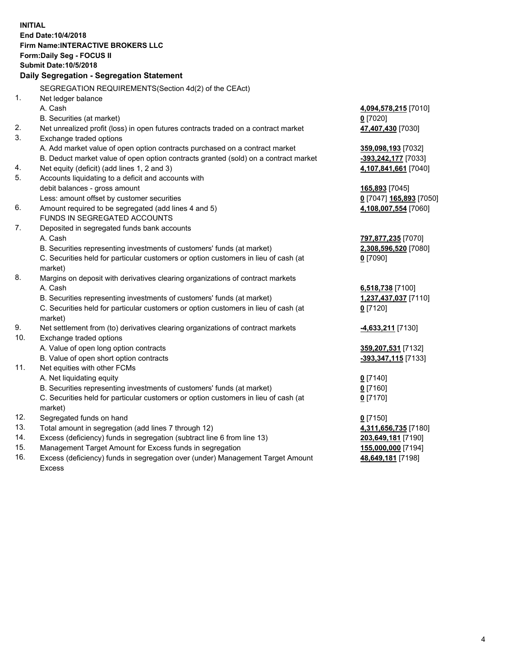**INITIAL End Date:10/4/2018 Firm Name:INTERACTIVE BROKERS LLC Form:Daily Seg - FOCUS II Submit Date:10/5/2018 Daily Segregation - Segregation Statement** SEGREGATION REQUIREMENTS(Section 4d(2) of the CEAct) 1. Net ledger balance A. Cash **4,094,578,215** [7010] B. Securities (at market) **0** [7020] 2. Net unrealized profit (loss) in open futures contracts traded on a contract market **47,407,430** [7030] 3. Exchange traded options A. Add market value of open option contracts purchased on a contract market **359,098,193** [7032] B. Deduct market value of open option contracts granted (sold) on a contract market **-393,242,177** [7033] 4. Net equity (deficit) (add lines 1, 2 and 3) **4,107,841,661** [7040] 5. Accounts liquidating to a deficit and accounts with debit balances - gross amount **165,893** [7045] Less: amount offset by customer securities **0** [7047] **165,893** [7050] 6. Amount required to be segregated (add lines 4 and 5) **4,108,007,554** [7060] FUNDS IN SEGREGATED ACCOUNTS 7. Deposited in segregated funds bank accounts A. Cash **797,877,235** [7070] B. Securities representing investments of customers' funds (at market) **2,308,596,520** [7080] C. Securities held for particular customers or option customers in lieu of cash (at market) **0** [7090] 8. Margins on deposit with derivatives clearing organizations of contract markets A. Cash **6,518,738** [7100] B. Securities representing investments of customers' funds (at market) **1,237,437,037** [7110] C. Securities held for particular customers or option customers in lieu of cash (at market) **0** [7120] 9. Net settlement from (to) derivatives clearing organizations of contract markets **-4,633,211** [7130] 10. Exchange traded options A. Value of open long option contracts **359,207,531** [7132] B. Value of open short option contracts **-393,347,115** [7133] 11. Net equities with other FCMs A. Net liquidating equity **0** [7140] B. Securities representing investments of customers' funds (at market) **0** [7160] C. Securities held for particular customers or option customers in lieu of cash (at market) **0** [7170] 12. Segregated funds on hand **0** [7150] 13. Total amount in segregation (add lines 7 through 12) **4,311,656,735** [7180] 14. Excess (deficiency) funds in segregation (subtract line 6 from line 13) **203,649,181** [7190] 15. Management Target Amount for Excess funds in segregation **155,000,000** [7194]

16. Excess (deficiency) funds in segregation over (under) Management Target Amount Excess

**48,649,181** [7198]